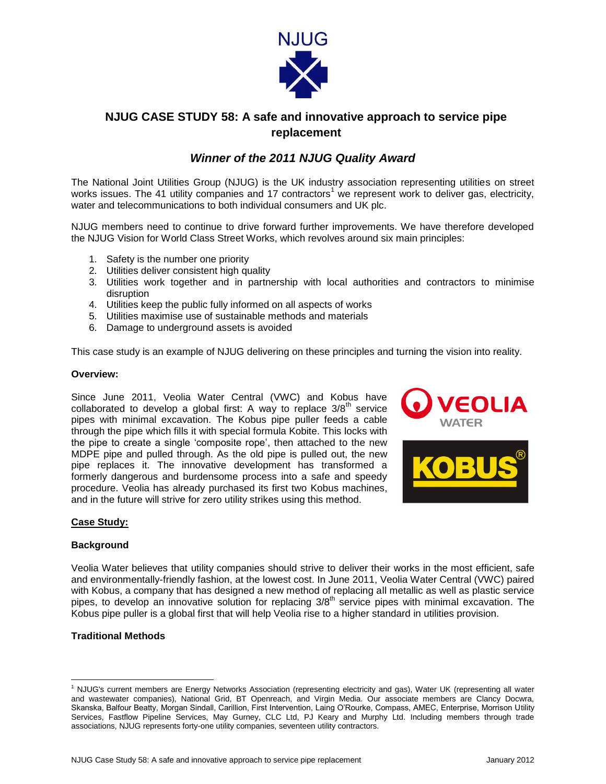

# **NJUG CASE STUDY 58: A safe and innovative approach to service pipe replacement**

## *Winner of the 2011 NJUG Quality Award*

The National Joint Utilities Group (NJUG) is the UK industry association representing utilities on street works issues. The 41 utility companies and 17 contractors<sup>1</sup> we represent work to deliver gas, electricity, water and telecommunications to both individual consumers and UK plc.

NJUG members need to continue to drive forward further improvements. We have therefore developed the NJUG Vision for World Class Street Works, which revolves around six main principles:

- 1. Safety is the number one priority
- 2. Utilities deliver consistent high quality
- 3. Utilities work together and in partnership with local authorities and contractors to minimise disruption
- 4. Utilities keep the public fully informed on all aspects of works
- 5. Utilities maximise use of sustainable methods and materials
- 6. Damage to underground assets is avoided

This case study is an example of NJUG delivering on these principles and turning the vision into reality.

#### **Overview:**

Since June 2011, Veolia Water Central (VWC) and Kobus have collaborated to develop a global first: A way to replace  $3/8^{th}$  service pipes with minimal excavation. The Kobus pipe puller feeds a cable through the pipe which fills it with special formula Kobite. This locks with the pipe to create a single 'composite rope', then attached to the new MDPE pipe and pulled through. As the old pipe is pulled out, the new pipe replaces it. The innovative development has transformed a formerly dangerous and burdensome process into a safe and speedy procedure. Veolia has already purchased its first two Kobus machines, and in the future will strive for zero utility strikes using this method.





#### **Case Study:**

#### **Background**

Veolia Water believes that utility companies should strive to deliver their works in the most efficient, safe and environmentally-friendly fashion, at the lowest cost. In June 2011, Veolia Water Central (VWC) paired with Kobus, a company that has designed a new method of replacing all metallic as well as plastic service pipes, to develop an innovative solution for replacing 3/8<sup>th</sup> service pipes with minimal excavation. The Kobus pipe puller is a global first that will help Veolia rise to a higher standard in utilities provision.

## **Traditional Methods**

 $\overline{\phantom{a}}$ 

<sup>1</sup> NJUG's current members are Energy Networks Association (representing electricity and gas), Water UK (representing all water and wastewater companies), National Grid, BT Openreach, and Virgin Media. Our associate members are Clancy Docwra, Skanska, Balfour Beatty, Morgan Sindall, Carillion, First Intervention, Laing O'Rourke, Compass, AMEC, Enterprise, Morrison Utility Services, Fastflow Pipeline Services, May Gurney, CLC Ltd, PJ Keary and Murphy Ltd. Including members through trade associations, NJUG represents forty-one utility companies, seventeen utility contractors.